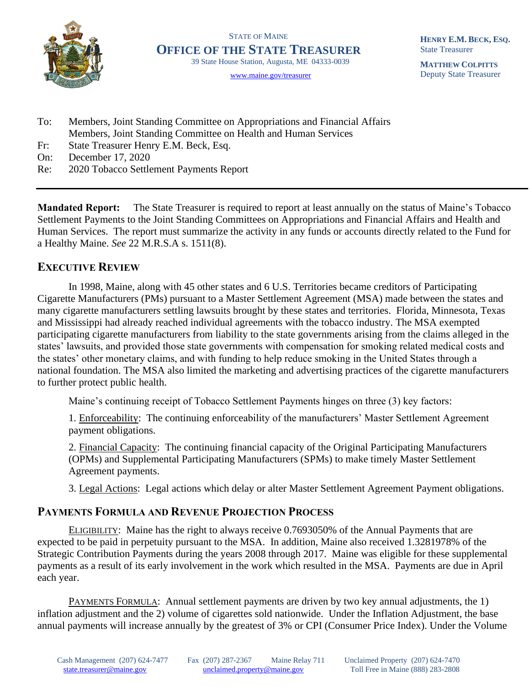

STATE OF MAINE **OFFICE OF THE STATE TREASURER** 39 State House Station, Augusta, ME 04333-0039

[www.maine.gov/treasurer](http://www.maine.gov/treasurer) 

**HENRY E.M. BECK, ESQ.** State Treasurer

**MATTHEW COLPITTS** Deputy State Treasurer

- To: Members, Joint Standing Committee on Appropriations and Financial Affairs Members, Joint Standing Committee on Health and Human Services
- Fr: State Treasurer Henry E.M. Beck, Esq.
- On: December 17, 2020
- Re: 2020 Tobacco Settlement Payments Report

**Mandated Report:** The State Treasurer is required to report at least annually on the status of Maine's Tobacco Settlement Payments to the Joint Standing Committees on Appropriations and Financial Affairs and Health and Human Services. The report must summarize the activity in any funds or accounts directly related to the Fund for a Healthy Maine. *See* 22 M.R.S.A s. 1511(8).

## **EXECUTIVE REVIEW**

In 1998, Maine, along with 45 other states and 6 U.S. Territories became creditors of Participating Cigarette Manufacturers (PMs) pursuant to a Master Settlement Agreement (MSA) made between the states and many cigarette manufacturers settling lawsuits brought by these states and territories. Florida, Minnesota, Texas and Mississippi had already reached individual agreements with the tobacco industry. The MSA exempted participating cigarette manufacturers from liability to the state governments arising from the claims alleged in the states' lawsuits, and provided those state governments with compensation for smoking related medical costs and the states' other monetary claims, and with funding to help reduce smoking in the United States through a national foundation. The MSA also limited the marketing and advertising practices of the cigarette manufacturers to further protect public health.

Maine's continuing receipt of Tobacco Settlement Payments hinges on three (3) key factors:

1. Enforceability: The continuing enforceability of the manufacturers' Master Settlement Agreement payment obligations.

2. Financial Capacity: The continuing financial capacity of the Original Participating Manufacturers (OPMs) and Supplemental Participating Manufacturers (SPMs) to make timely Master Settlement Agreement payments.

3. Legal Actions: Legal actions which delay or alter Master Settlement Agreement Payment obligations.

## **PAYMENTS FORMULA AND REVENUE PROJECTION PROCESS**

ELIGIBILITY: Maine has the right to always receive 0.7693050% of the Annual Payments that are expected to be paid in perpetuity pursuant to the MSA. In addition, Maine also received 1.3281978% of the Strategic Contribution Payments during the years 2008 through 2017. Maine was eligible for these supplemental payments as a result of its early involvement in the work which resulted in the MSA. Payments are due in April each year.

PAYMENTS FORMULA: Annual settlement payments are driven by two key annual adjustments, the 1) inflation adjustment and the 2) volume of cigarettes sold nationwide. Under the Inflation Adjustment, the base annual payments will increase annually by the greatest of 3% or CPI (Consumer Price Index). Under the Volume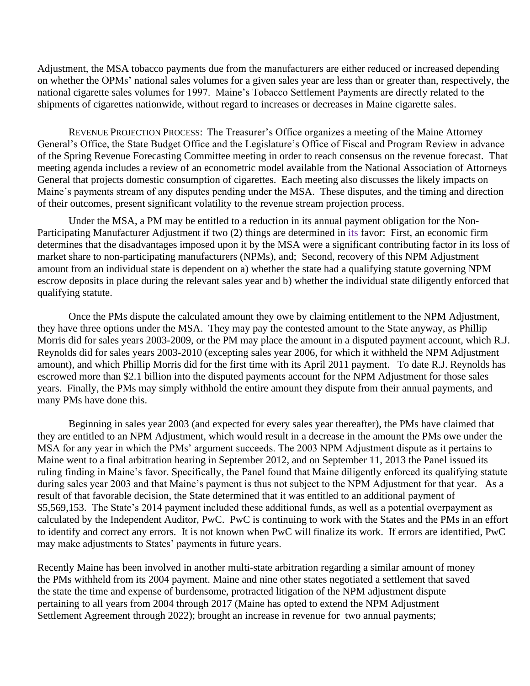Adjustment, the MSA tobacco payments due from the manufacturers are either reduced or increased depending on whether the OPMs' national sales volumes for a given sales year are less than or greater than, respectively, the national cigarette sales volumes for 1997. Maine's Tobacco Settlement Payments are directly related to the shipments of cigarettes nationwide, without regard to increases or decreases in Maine cigarette sales.

REVENUE PROJECTION PROCESS: The Treasurer's Office organizes a meeting of the Maine Attorney General's Office, the State Budget Office and the Legislature's Office of Fiscal and Program Review in advance of the Spring Revenue Forecasting Committee meeting in order to reach consensus on the revenue forecast. That meeting agenda includes a review of an econometric model available from the National Association of Attorneys General that projects domestic consumption of cigarettes. Each meeting also discusses the likely impacts on Maine's payments stream of any disputes pending under the MSA. These disputes, and the timing and direction of their outcomes, present significant volatility to the revenue stream projection process.

Under the MSA, a PM may be entitled to a reduction in its annual payment obligation for the Non-Participating Manufacturer Adjustment if two (2) things are determined in its favor: First, an economic firm determines that the disadvantages imposed upon it by the MSA were a significant contributing factor in its loss of market share to non-participating manufacturers (NPMs), and; Second, recovery of this NPM Adjustment amount from an individual state is dependent on a) whether the state had a qualifying statute governing NPM escrow deposits in place during the relevant sales year and b) whether the individual state diligently enforced that qualifying statute.

Once the PMs dispute the calculated amount they owe by claiming entitlement to the NPM Adjustment, they have three options under the MSA. They may pay the contested amount to the State anyway, as Phillip Morris did for sales years 2003-2009, or the PM may place the amount in a disputed payment account, which R.J. Reynolds did for sales years 2003-2010 (excepting sales year 2006, for which it withheld the NPM Adjustment amount), and which Phillip Morris did for the first time with its April 2011 payment. To date R.J. Reynolds has escrowed more than \$2.1 billion into the disputed payments account for the NPM Adjustment for those sales years. Finally, the PMs may simply withhold the entire amount they dispute from their annual payments, and many PMs have done this.

Beginning in sales year 2003 (and expected for every sales year thereafter), the PMs have claimed that they are entitled to an NPM Adjustment, which would result in a decrease in the amount the PMs owe under the MSA for any year in which the PMs' argument succeeds. The 2003 NPM Adjustment dispute as it pertains to Maine went to a final arbitration hearing in September 2012, and on September 11, 2013 the Panel issued its ruling finding in Maine's favor. Specifically, the Panel found that Maine diligently enforced its qualifying statute during sales year 2003 and that Maine's payment is thus not subject to the NPM Adjustment for that year. As a result of that favorable decision, the State determined that it was entitled to an additional payment of \$5,569,153. The State's 2014 payment included these additional funds, as well as a potential overpayment as calculated by the Independent Auditor, PwC. PwC is continuing to work with the States and the PMs in an effort to identify and correct any errors. It is not known when PwC will finalize its work. If errors are identified, PwC may make adjustments to States' payments in future years.

Recently Maine has been involved in another multi-state arbitration regarding a similar amount of money the PMs withheld from its 2004 payment. Maine and nine other states negotiated a settlement that saved the state the time and expense of burdensome, protracted litigation of the NPM adjustment dispute pertaining to all years from 2004 through 2017 (Maine has opted to extend the NPM Adjustment Settlement Agreement through 2022); brought an increase in revenue for two annual payments;